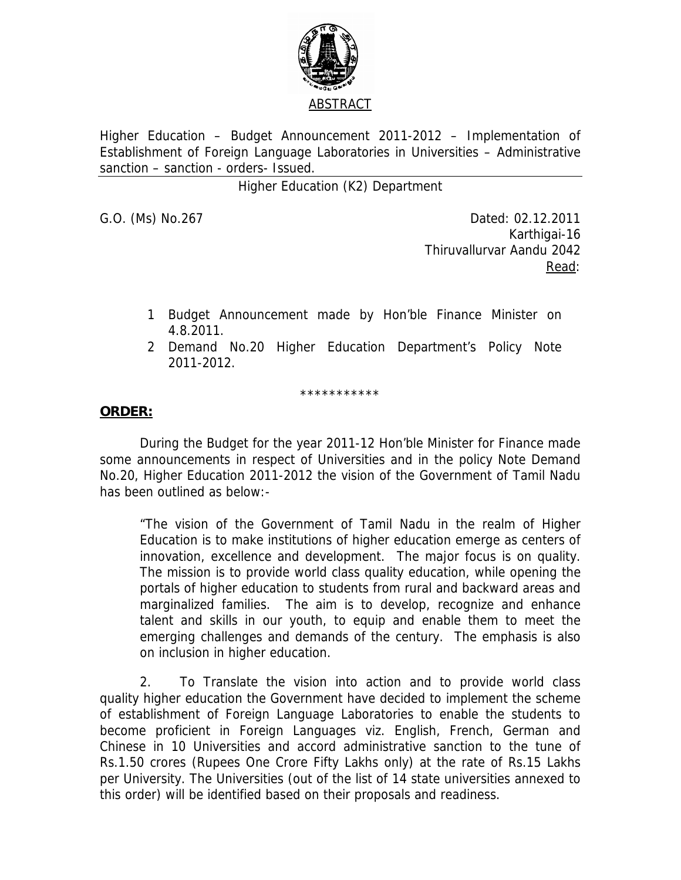

Higher Education – Budget Announcement 2011-2012 – Implementation of Establishment of Foreign Language Laboratories in Universities – Administrative sanction – sanction - orders- Issued.

Higher Education (K2) Department

G.O. (Ms) No.267 Dated: 02.12.2011 Karthigai-16 Thiruvallurvar Aandu 2042 <u>Read</u>: the contract of the contract of the Read:

- 1 Budget Announcement made by Hon'ble Finance Minister on 4.8.2011.
- 2 Demand No.20 Higher Education Department's Policy Note 2011-2012.

\*\*\*\*\*\*\*\*\*\*\*

## **ORDER:**

 During the Budget for the year 2011-12 Hon'ble Minister for Finance made some announcements in respect of Universities and in the policy Note Demand No.20, Higher Education 2011-2012 the vision of the Government of Tamil Nadu has been outlined as below:-

"The vision of the Government of Tamil Nadu in the realm of Higher Education is to make institutions of higher education emerge as centers of innovation, excellence and development. The major focus is on quality. The mission is to provide world class quality education, while opening the portals of higher education to students from rural and backward areas and marginalized families. The aim is to develop, recognize and enhance talent and skills in our youth, to equip and enable them to meet the emerging challenges and demands of the century. The emphasis is also on inclusion in higher education.

2. To Translate the vision into action and to provide world class quality higher education the Government have decided to implement the scheme of establishment of Foreign Language Laboratories to enable the students to become proficient in Foreign Languages viz. English, French, German and Chinese in 10 Universities and accord administrative sanction to the tune of Rs.1.50 crores (Rupees One Crore Fifty Lakhs only) at the rate of Rs.15 Lakhs per University. The Universities (out of the list of 14 state universities annexed to this order) will be identified based on their proposals and readiness.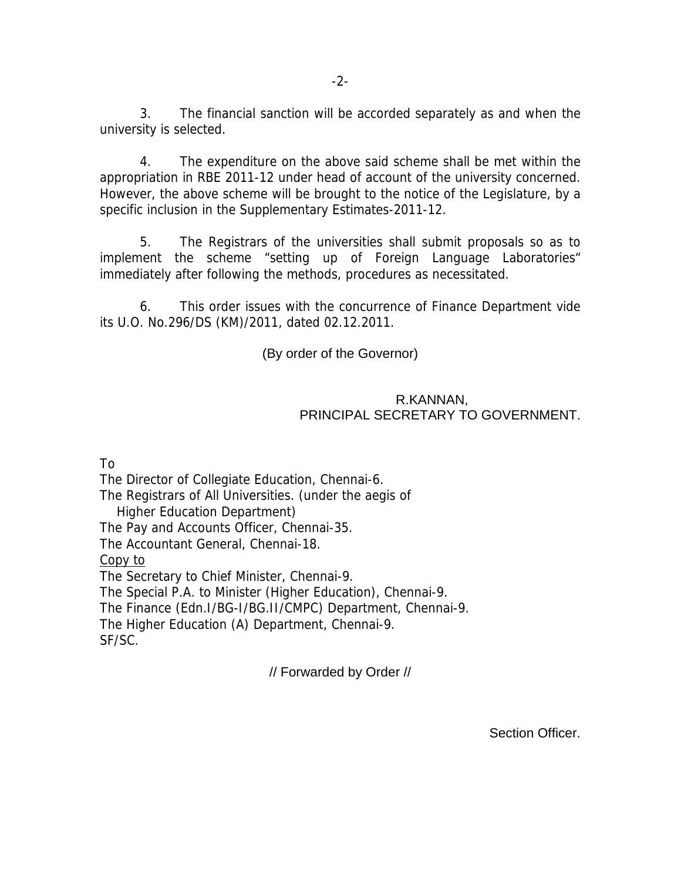3. The financial sanction will be accorded separately as and when the university is selected.

4. The expenditure on the above said scheme shall be met within the appropriation in RBE 2011-12 under head of account of the university concerned. However, the above scheme will be brought to the notice of the Legislature, by a specific inclusion in the Supplementary Estimates-2011-12.

 5. The Registrars of the universities shall submit proposals so as to implement the scheme "setting up of Foreign Language Laboratories" immediately after following the methods, procedures as necessitated.

 6. This order issues with the concurrence of Finance Department vide its U.O. No.296/DS (KM)/2011, dated 02.12.2011.

(By order of the Governor)

## R.KANNAN, PRINCIPAL SECRETARY TO GOVERNMENT.

To

The Director of Collegiate Education, Chennai-6. The Registrars of All Universities. (under the aegis of Higher Education Department) The Pay and Accounts Officer, Chennai-35. The Accountant General, Chennai-18. Copy to The Secretary to Chief Minister, Chennai-9. The Special P.A. to Minister (Higher Education), Chennai-9. The Finance (Edn.I/BG-I/BG.II/CMPC) Department, Chennai-9. The Higher Education (A) Department, Chennai-9. SF/SC.

// Forwarded by Order //

Section Officer.